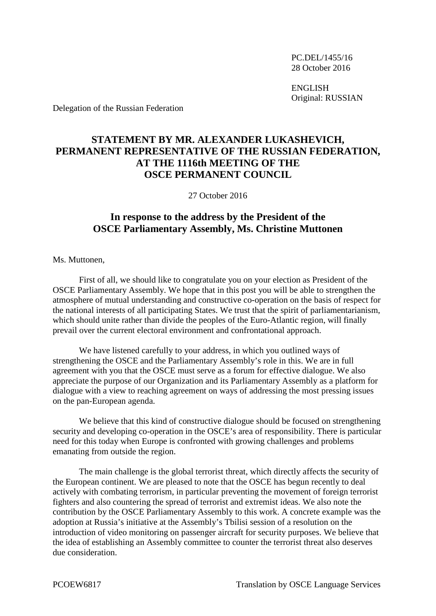PC.DEL/1455/16 28 October 2016

ENGLISH Original: RUSSIAN

Delegation of the Russian Federation

## **STATEMENT BY MR. ALEXANDER LUKASHEVICH, PERMANENT REPRESENTATIVE OF THE RUSSIAN FEDERATION, AT THE 1116th MEETING OF THE OSCE PERMANENT COUNCIL**

27 October 2016

## **In response to the address by the President of the OSCE Parliamentary Assembly, Ms. Christine Muttonen**

Ms. Muttonen,

First of all, we should like to congratulate you on your election as President of the OSCE Parliamentary Assembly. We hope that in this post you will be able to strengthen the atmosphere of mutual understanding and constructive co-operation on the basis of respect for the national interests of all participating States. We trust that the spirit of parliamentarianism, which should unite rather than divide the peoples of the Euro-Atlantic region, will finally prevail over the current electoral environment and confrontational approach.

We have listened carefully to your address, in which you outlined ways of strengthening the OSCE and the Parliamentary Assembly's role in this. We are in full agreement with you that the OSCE must serve as a forum for effective dialogue. We also appreciate the purpose of our Organization and its Parliamentary Assembly as a platform for dialogue with a view to reaching agreement on ways of addressing the most pressing issues on the pan-European agenda.

We believe that this kind of constructive dialogue should be focused on strengthening security and developing co-operation in the OSCE's area of responsibility. There is particular need for this today when Europe is confronted with growing challenges and problems emanating from outside the region.

The main challenge is the global terrorist threat, which directly affects the security of the European continent. We are pleased to note that the OSCE has begun recently to deal actively with combating terrorism, in particular preventing the movement of foreign terrorist fighters and also countering the spread of terrorist and extremist ideas. We also note the contribution by the OSCE Parliamentary Assembly to this work. A concrete example was the adoption at Russia's initiative at the Assembly's Tbilisi session of a resolution on the introduction of video monitoring on passenger aircraft for security purposes. We believe that the idea of establishing an Assembly committee to counter the terrorist threat also deserves due consideration.